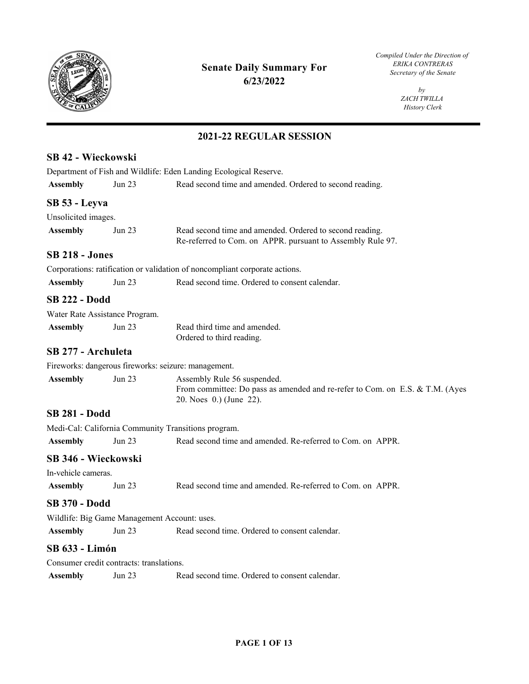

## **Senate Daily Summary For 6/23/2022**

*Compiled Under the Direction of ERIKA CONTRERAS Secretary of the Senate* 

> *by ZACH TWILLA History Clerk*

| SB 42 - Wieckowski                       |                                                                   |                                                                                                                                        |  |  |
|------------------------------------------|-------------------------------------------------------------------|----------------------------------------------------------------------------------------------------------------------------------------|--|--|
|                                          | Department of Fish and Wildlife: Eden Landing Ecological Reserve. |                                                                                                                                        |  |  |
| <b>Assembly</b>                          | Jun 23                                                            | Read second time and amended. Ordered to second reading.                                                                               |  |  |
| SB 53 - Leyva                            |                                                                   |                                                                                                                                        |  |  |
| Unsolicited images.                      |                                                                   |                                                                                                                                        |  |  |
| <b>Assembly</b>                          | Jun 23                                                            | Read second time and amended. Ordered to second reading.<br>Re-referred to Com. on APPR. pursuant to Assembly Rule 97.                 |  |  |
| <b>SB 218 - Jones</b>                    |                                                                   |                                                                                                                                        |  |  |
|                                          |                                                                   | Corporations: ratification or validation of noncompliant corporate actions.                                                            |  |  |
| <b>Assembly</b>                          | Jun 23                                                            | Read second time. Ordered to consent calendar.                                                                                         |  |  |
| <b>SB 222 - Dodd</b>                     |                                                                   |                                                                                                                                        |  |  |
|                                          | Water Rate Assistance Program.                                    |                                                                                                                                        |  |  |
| <b>Assembly</b>                          | Jun 23                                                            | Read third time and amended.<br>Ordered to third reading.                                                                              |  |  |
| SB 277 - Archuleta                       |                                                                   |                                                                                                                                        |  |  |
|                                          |                                                                   | Fireworks: dangerous fireworks: seizure: management.                                                                                   |  |  |
| <b>Assembly</b>                          | Jun $23$                                                          | Assembly Rule 56 suspended.<br>From committee: Do pass as amended and re-refer to Com. on E.S. & T.M. (Ayes<br>20. Noes 0.) (June 22). |  |  |
| <b>SB 281 - Dodd</b>                     |                                                                   |                                                                                                                                        |  |  |
|                                          |                                                                   | Medi-Cal: California Community Transitions program.                                                                                    |  |  |
| <b>Assembly</b>                          | <b>Jun 23</b>                                                     | Read second time and amended. Re-referred to Com. on APPR.                                                                             |  |  |
| SB 346 - Wieckowski                      |                                                                   |                                                                                                                                        |  |  |
| In-vehicle cameras.                      |                                                                   |                                                                                                                                        |  |  |
| <b>Assembly</b>                          | Jun 23                                                            | Read second time and amended. Re-referred to Com. on APPR.                                                                             |  |  |
| <b>SB 370 - Dodd</b>                     |                                                                   |                                                                                                                                        |  |  |
|                                          |                                                                   | Wildlife: Big Game Management Account: uses.                                                                                           |  |  |
| <b>Assembly</b>                          | <b>Jun 23</b>                                                     | Read second time. Ordered to consent calendar.                                                                                         |  |  |
| <b>SB 633 - Limón</b>                    |                                                                   |                                                                                                                                        |  |  |
| Consumer credit contracts: translations. |                                                                   |                                                                                                                                        |  |  |
| <b>Assembly</b>                          | Jun 23                                                            | Read second time. Ordered to consent calendar.                                                                                         |  |  |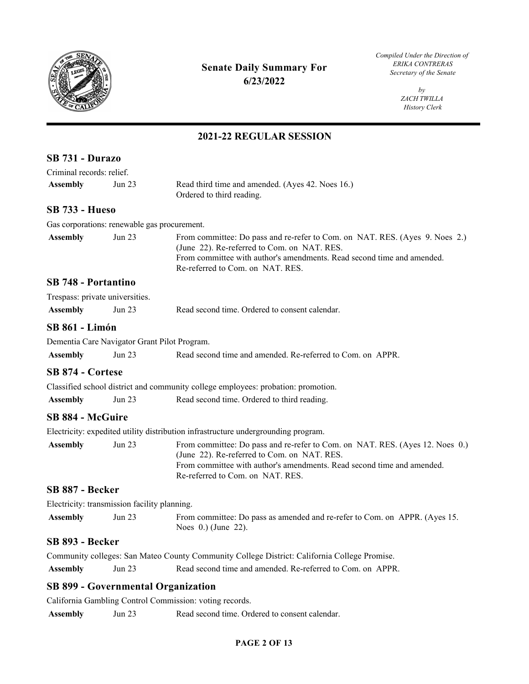

*Compiled Under the Direction of* 

*by ZACH TWILLA History Clerk* 

## **2021-22 REGULAR SESSION**

| SB 731 - Durazo            |                                              |                                                                                                                                                                                                                                           |
|----------------------------|----------------------------------------------|-------------------------------------------------------------------------------------------------------------------------------------------------------------------------------------------------------------------------------------------|
| Criminal records: relief.  |                                              |                                                                                                                                                                                                                                           |
| <b>Assembly</b>            | Jun $23$                                     | Read third time and amended. (Ayes 42. Noes 16.)<br>Ordered to third reading.                                                                                                                                                             |
| <b>SB 733 - Hueso</b>      |                                              |                                                                                                                                                                                                                                           |
|                            | Gas corporations: renewable gas procurement. |                                                                                                                                                                                                                                           |
| <b>Assembly</b>            | Jun $23$                                     | From committee: Do pass and re-refer to Com. on NAT. RES. (Ayes 9. Noes 2.)<br>(June 22). Re-referred to Com. on NAT. RES.<br>From committee with author's amendments. Read second time and amended.<br>Re-referred to Com. on NAT. RES.  |
| <b>SB 748 - Portantino</b> |                                              |                                                                                                                                                                                                                                           |
|                            | Trespass: private universities.              |                                                                                                                                                                                                                                           |
| <b>Assembly</b>            | Jun 23                                       | Read second time. Ordered to consent calendar.                                                                                                                                                                                            |
| <b>SB 861 - Limón</b>      |                                              |                                                                                                                                                                                                                                           |
|                            | Dementia Care Navigator Grant Pilot Program. |                                                                                                                                                                                                                                           |
| <b>Assembly</b>            | Jun 23                                       | Read second time and amended. Re-referred to Com. on APPR.                                                                                                                                                                                |
| SB 874 - Cortese           |                                              |                                                                                                                                                                                                                                           |
|                            |                                              | Classified school district and community college employees: probation: promotion.                                                                                                                                                         |
| <b>Assembly</b>            | Jun $23$                                     | Read second time. Ordered to third reading.                                                                                                                                                                                               |
| <b>SB 884 - McGuire</b>    |                                              |                                                                                                                                                                                                                                           |
|                            |                                              | Electricity: expedited utility distribution infrastructure undergrounding program.                                                                                                                                                        |
| <b>Assembly</b>            | Jun $23$                                     | From committee: Do pass and re-refer to Com. on NAT. RES. (Ayes 12. Noes 0.)<br>(June 22). Re-referred to Com. on NAT. RES.<br>From committee with author's amendments. Read second time and amended.<br>Re-referred to Com. on NAT. RES. |
| SB 887 - Becker            |                                              |                                                                                                                                                                                                                                           |
|                            | Electricity: transmission facility planning. |                                                                                                                                                                                                                                           |
| <b>Assembly</b>            | Jun 23                                       | From committee: Do pass as amended and re-refer to Com. on APPR. (Ayes 15.<br>Noes $0.$ ) (June 22).                                                                                                                                      |
| SB 893 - Becker            |                                              |                                                                                                                                                                                                                                           |
|                            |                                              | Community colleges: San Mateo County Community College District: California College Promise.                                                                                                                                              |
| <b>Assembly</b>            | Jun 23                                       | Read second time and amended. Re-referred to Com. on APPR.                                                                                                                                                                                |
|                            |                                              | <b>SB 899 - Governmental Organization</b>                                                                                                                                                                                                 |
|                            |                                              |                                                                                                                                                                                                                                           |

California Gambling Control Commission: voting records.

Assembly Jun 23 Read second time. Ordered to consent calendar.

#### **PAGE 2 OF 13**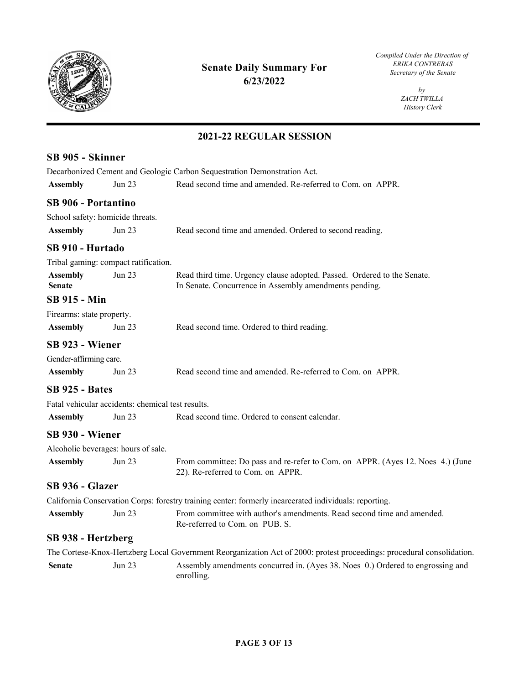

*Compiled Under the Direction of* 

*by ZACH TWILLA History Clerk* 

| SB 905 - Skinner                 |                                                   |                                                                                                                                   |
|----------------------------------|---------------------------------------------------|-----------------------------------------------------------------------------------------------------------------------------------|
|                                  |                                                   | Decarbonized Cement and Geologic Carbon Sequestration Demonstration Act.                                                          |
| <b>Assembly</b>                  | <b>Jun 23</b>                                     | Read second time and amended. Re-referred to Com. on APPR.                                                                        |
| <b>SB 906 - Portantino</b>       |                                                   |                                                                                                                                   |
|                                  | School safety: homicide threats.                  |                                                                                                                                   |
| <b>Assembly</b>                  | Jun 23                                            | Read second time and amended. Ordered to second reading.                                                                          |
| SB 910 - Hurtado                 |                                                   |                                                                                                                                   |
|                                  | Tribal gaming: compact ratification.              |                                                                                                                                   |
| <b>Assembly</b><br><b>Senate</b> | Jun 23                                            | Read third time. Urgency clause adopted. Passed. Ordered to the Senate.<br>In Senate. Concurrence in Assembly amendments pending. |
| <b>SB 915 - Min</b>              |                                                   |                                                                                                                                   |
| Firearms: state property.        |                                                   |                                                                                                                                   |
| <b>Assembly</b>                  | Jun $23$                                          | Read second time. Ordered to third reading.                                                                                       |
| SB 923 - Wiener                  |                                                   |                                                                                                                                   |
| Gender-affirming care.           |                                                   |                                                                                                                                   |
| <b>Assembly</b>                  | Jun 23                                            | Read second time and amended. Re-referred to Com. on APPR.                                                                        |
| <b>SB 925 - Bates</b>            |                                                   |                                                                                                                                   |
|                                  | Fatal vehicular accidents: chemical test results. |                                                                                                                                   |
| <b>Assembly</b>                  | <b>Jun 23</b>                                     | Read second time. Ordered to consent calendar.                                                                                    |
| SB 930 - Wiener                  |                                                   |                                                                                                                                   |
|                                  | Alcoholic beverages: hours of sale.               |                                                                                                                                   |
| <b>Assembly</b>                  | Jun 23                                            | From committee: Do pass and re-refer to Com. on APPR. (Ayes 12. Noes 4.) (June<br>22). Re-referred to Com. on APPR.               |
| SB 936 - Glazer                  |                                                   |                                                                                                                                   |
|                                  |                                                   | California Conservation Corps: forestry training center: formerly incarcerated individuals: reporting.                            |
| <b>Assembly</b>                  | Jun 23                                            | From committee with author's amendments. Read second time and amended.<br>Re-referred to Com. on PUB. S.                          |
| SB 938 - Hertzberg               |                                                   |                                                                                                                                   |
|                                  |                                                   | The Cortese-Knox-Hertzberg Local Government Reorganization Act of 2000: protest proceedings: procedural consolidation.            |
| <b>Senate</b>                    | <b>Jun 23</b>                                     | Assembly amendments concurred in. (Ayes 38. Noes 0.) Ordered to engrossing and<br>enrolling.                                      |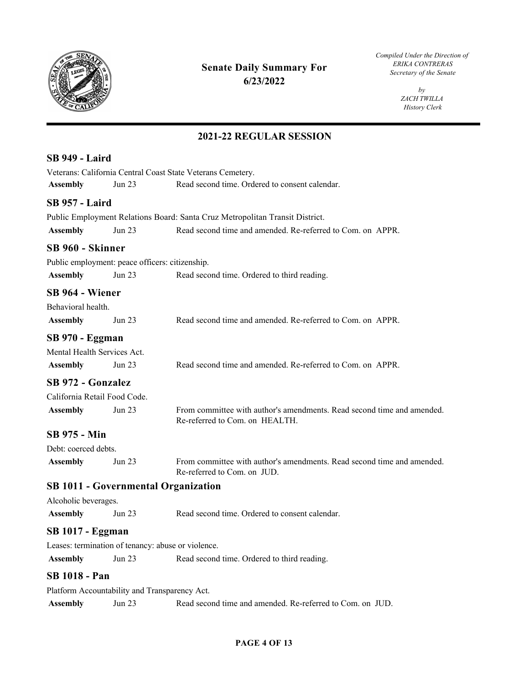

*Compiled Under the Direction of* 

*by ZACH TWILLA History Clerk* 

## **2021-22 REGULAR SESSION**

| <b>SB 949 - Laird</b>        |                                                 |                                                                                                          |
|------------------------------|-------------------------------------------------|----------------------------------------------------------------------------------------------------------|
|                              |                                                 | Veterans: California Central Coast State Veterans Cemetery.                                              |
| <b>Assembly</b>              | <b>Jun 23</b>                                   | Read second time. Ordered to consent calendar.                                                           |
| <b>SB 957 - Laird</b>        |                                                 |                                                                                                          |
|                              |                                                 | Public Employment Relations Board: Santa Cruz Metropolitan Transit District.                             |
| <b>Assembly</b>              | <b>Jun 23</b>                                   | Read second time and amended. Re-referred to Com. on APPR.                                               |
| SB 960 - Skinner             |                                                 |                                                                                                          |
|                              | Public employment: peace officers: citizenship. |                                                                                                          |
| <b>Assembly</b>              | <b>Jun 23</b>                                   | Read second time. Ordered to third reading.                                                              |
| SB 964 - Wiener              |                                                 |                                                                                                          |
| Behavioral health.           |                                                 |                                                                                                          |
| <b>Assembly</b>              | Jun 23                                          | Read second time and amended. Re-referred to Com. on APPR.                                               |
| SB 970 - Eggman              |                                                 |                                                                                                          |
| Mental Health Services Act.  |                                                 |                                                                                                          |
| <b>Assembly</b>              | Jun 23                                          | Read second time and amended. Re-referred to Com. on APPR.                                               |
| <b>SB 972 - Gonzalez</b>     |                                                 |                                                                                                          |
| California Retail Food Code. |                                                 |                                                                                                          |
| <b>Assembly</b>              | <b>Jun 23</b>                                   | From committee with author's amendments. Read second time and amended.<br>Re-referred to Com. on HEALTH. |
| SB 975 - Min                 |                                                 |                                                                                                          |
| Debt: coerced debts.         |                                                 |                                                                                                          |
| <b>Assembly</b>              | <b>Jun 23</b>                                   | From committee with author's amendments. Read second time and amended.<br>Re-referred to Com. on JUD.    |
|                              |                                                 | <b>SB 1011 - Governmental Organization</b>                                                               |
| Alcoholic beverages.         |                                                 |                                                                                                          |
| <b>Assembly</b>              | Jun 23                                          | Read second time. Ordered to consent calendar.                                                           |
| <b>SB 1017 - Eggman</b>      |                                                 |                                                                                                          |
|                              |                                                 | Leases: termination of tenancy: abuse or violence.                                                       |
| <b>Assembly</b>              | <b>Jun 23</b>                                   | Read second time. Ordered to third reading.                                                              |
| <b>SB 1018 - Pan</b>         |                                                 |                                                                                                          |
|                              | Platform Accountability and Transparency Act.   |                                                                                                          |

Assembly Jun 23 Read second time and amended. Re-referred to Com. on JUD.

#### **PAGE 4 OF 13**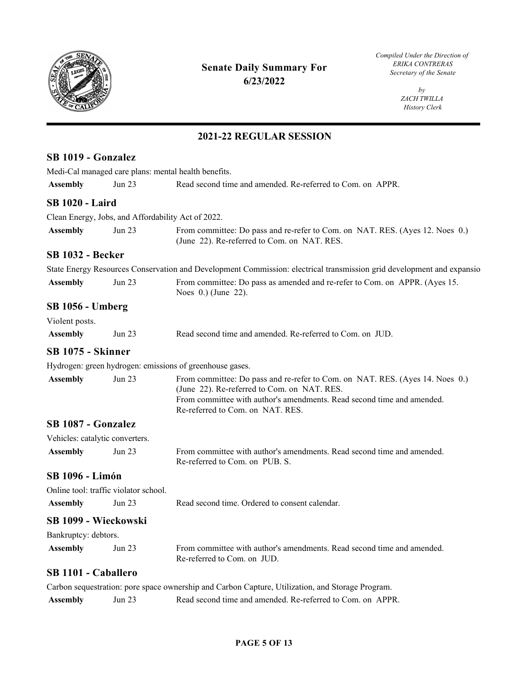

*Compiled Under the Direction of* 

*by ZACH TWILLA History Clerk* 

| SB 1019 - Gonzalez              |                                       |                                                                                                                                                                                                                                           |
|---------------------------------|---------------------------------------|-------------------------------------------------------------------------------------------------------------------------------------------------------------------------------------------------------------------------------------------|
|                                 |                                       | Medi-Cal managed care plans: mental health benefits.                                                                                                                                                                                      |
| <b>Assembly</b>                 | Jun 23                                | Read second time and amended. Re-referred to Com. on APPR.                                                                                                                                                                                |
| <b>SB 1020 - Laird</b>          |                                       |                                                                                                                                                                                                                                           |
|                                 |                                       | Clean Energy, Jobs, and Affordability Act of 2022.                                                                                                                                                                                        |
| <b>Assembly</b>                 | Jun $23$                              | From committee: Do pass and re-refer to Com. on NAT. RES. (Ayes 12. Noes 0.)<br>(June 22). Re-referred to Com. on NAT. RES.                                                                                                               |
| <b>SB 1032 - Becker</b>         |                                       |                                                                                                                                                                                                                                           |
|                                 |                                       | State Energy Resources Conservation and Development Commission: electrical transmission grid development and expansio                                                                                                                     |
| <b>Assembly</b>                 | Jun $23$                              | From committee: Do pass as amended and re-refer to Com. on APPR. (Ayes 15.<br>Noes 0.) (June 22).                                                                                                                                         |
| <b>SB 1056 - Umberg</b>         |                                       |                                                                                                                                                                                                                                           |
| Violent posts.                  |                                       |                                                                                                                                                                                                                                           |
| <b>Assembly</b>                 | Jun 23                                | Read second time and amended. Re-referred to Com. on JUD.                                                                                                                                                                                 |
| SB 1075 - Skinner               |                                       |                                                                                                                                                                                                                                           |
|                                 |                                       | Hydrogen: green hydrogen: emissions of greenhouse gases.                                                                                                                                                                                  |
| <b>Assembly</b>                 | <b>Jun 23</b>                         | From committee: Do pass and re-refer to Com. on NAT. RES. (Ayes 14. Noes 0.)<br>(June 22). Re-referred to Com. on NAT. RES.<br>From committee with author's amendments. Read second time and amended.<br>Re-referred to Com. on NAT. RES. |
| SB 1087 - Gonzalez              |                                       |                                                                                                                                                                                                                                           |
| Vehicles: catalytic converters. |                                       |                                                                                                                                                                                                                                           |
| <b>Assembly</b>                 | Jun 23                                | From committee with author's amendments. Read second time and amended.<br>Re-referred to Com. on PUB. S.                                                                                                                                  |
| <b>SB 1096 - Limón</b>          |                                       |                                                                                                                                                                                                                                           |
|                                 | Online tool: traffic violator school. |                                                                                                                                                                                                                                           |
| <b>Assembly</b>                 | Jun 23                                | Read second time. Ordered to consent calendar.                                                                                                                                                                                            |
| SB 1099 - Wieckowski            |                                       |                                                                                                                                                                                                                                           |
| Bankruptcy: debtors.            |                                       |                                                                                                                                                                                                                                           |
| <b>Assembly</b>                 | Jun 23                                | From committee with author's amendments. Read second time and amended.<br>Re-referred to Com. on JUD.                                                                                                                                     |
| SB 1101 - Caballero             |                                       |                                                                                                                                                                                                                                           |
|                                 |                                       | Carbon sequestration: pore space ownership and Carbon Capture, Utilization, and Storage Program.                                                                                                                                          |
|                                 |                                       |                                                                                                                                                                                                                                           |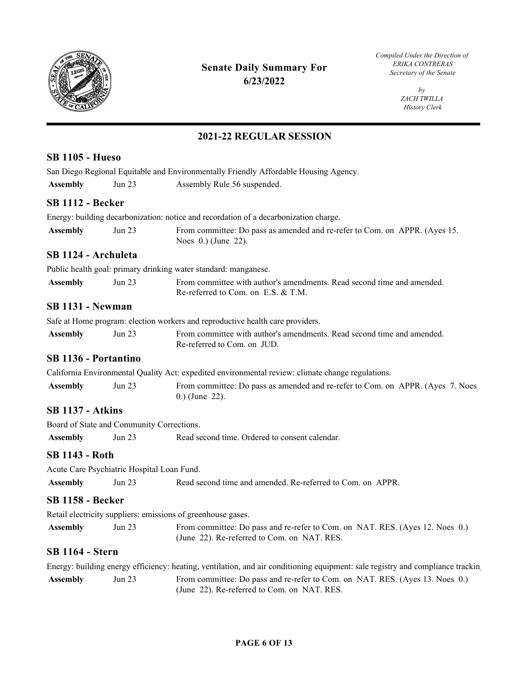

*Compiled Under the Direction of* 

*by ZACH TWILLA History Clerk* 

## **2021-22 REGULAR SESSION**

| <b>SB 1105 - Hueso</b>  |                                            |                                                                                                                                |  |
|-------------------------|--------------------------------------------|--------------------------------------------------------------------------------------------------------------------------------|--|
|                         |                                            | San Diego Regional Equitable and Environmentally Friendly Affordable Housing Agency.                                           |  |
| <b>Assembly</b>         | Jun $23$                                   | Assembly Rule 56 suspended.                                                                                                    |  |
| <b>SB 1112 - Becker</b> |                                            |                                                                                                                                |  |
|                         |                                            | Energy: building decarbonization: notice and recordation of a decarbonization charge.                                          |  |
| <b>Assembly</b>         | Jun 23                                     | From committee: Do pass as amended and re-refer to Com. on APPR. (Ayes 15.<br>Noes $0.$ ) (June 22).                           |  |
| SB 1124 - Archuleta     |                                            |                                                                                                                                |  |
|                         |                                            | Public health goal: primary drinking water standard: manganese.                                                                |  |
| <b>Assembly</b>         | <b>Jun 23</b>                              | From committee with author's amendments. Read second time and amended.<br>Re-referred to Com. on E.S. & T.M.                   |  |
| <b>SB 1131 - Newman</b> |                                            |                                                                                                                                |  |
|                         |                                            | Safe at Home program: election workers and reproductive health care providers.                                                 |  |
| <b>Assembly</b>         | <b>Jun 23</b>                              | From committee with author's amendments. Read second time and amended.<br>Re-referred to Com. on JUD.                          |  |
| SB 1136 - Portantino    |                                            |                                                                                                                                |  |
|                         |                                            | California Environmental Quality Act: expedited environmental review: climate change regulations.                              |  |
| <b>Assembly</b>         | <b>Jun 23</b>                              | From committee: Do pass as amended and re-refer to Com. on APPR. (Ayes 7. Noes<br>$0.)$ (June 22).                             |  |
| <b>SB 1137 - Atkins</b> |                                            |                                                                                                                                |  |
|                         | Board of State and Community Corrections.  |                                                                                                                                |  |
| <b>Assembly</b>         | <b>Jun 23</b>                              | Read second time. Ordered to consent calendar.                                                                                 |  |
| SB 1143 - Roth          |                                            |                                                                                                                                |  |
|                         | Acute Care Psychiatric Hospital Loan Fund. |                                                                                                                                |  |
| <b>Assembly</b>         | Jun 23                                     | Read second time and amended. Re-referred to Com. on APPR.                                                                     |  |
| <b>SB 1158 - Becker</b> |                                            |                                                                                                                                |  |
|                         |                                            | Retail electricity suppliers: emissions of greenhouse gases.                                                                   |  |
| <b>Assembly</b>         | Jun 23                                     | From committee: Do pass and re-refer to Com. on NAT. RES. (Ayes 12. Noes 0.)<br>(June 22). Re-referred to Com. on NAT. RES.    |  |
| <b>SB 1164 - Stern</b>  |                                            |                                                                                                                                |  |
|                         |                                            | Energy: building energy efficiency: heating, ventilation, and air conditioning equipment: sale registry and compliance trackin |  |
| <b>Assembly</b>         | <b>Jun 23</b>                              | From committee: Do pass and re-refer to Com. on NAT. RES. (Ayes 13. Noes 0.)                                                   |  |

(June 22). Re-referred to Com. on NAT. RES.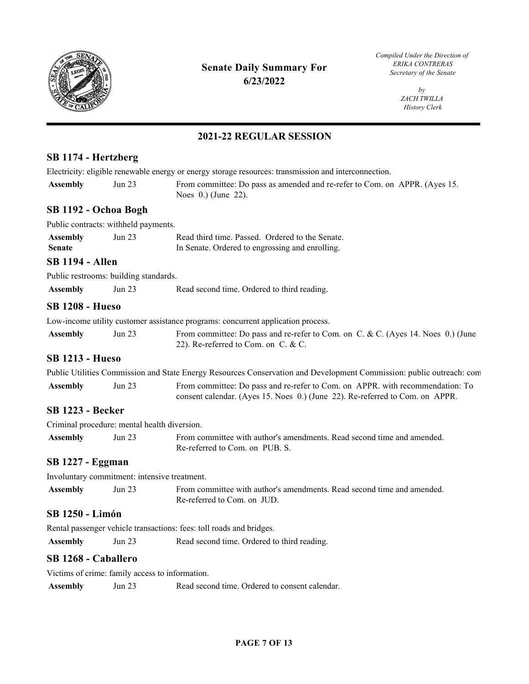

*Compiled Under the Direction of* 

*by ZACH TWILLA History Clerk* 

## **2021-22 REGULAR SESSION**

## **SB 1174 - Hertzberg**

| SB 1174 - Hertzberg              |                                                 |                                                                                                                                                               |
|----------------------------------|-------------------------------------------------|---------------------------------------------------------------------------------------------------------------------------------------------------------------|
|                                  |                                                 | Electricity: eligible renewable energy or energy storage resources: transmission and interconnection.                                                         |
| <b>Assembly</b>                  | <b>Jun 23</b>                                   | From committee: Do pass as amended and re-refer to Com. on APPR. (Ayes 15.<br>Noes 0.) (June 22).                                                             |
| SB 1192 - Ochoa Bogh             |                                                 |                                                                                                                                                               |
|                                  | Public contracts: withheld payments.            |                                                                                                                                                               |
| <b>Assembly</b><br><b>Senate</b> | <b>Jun 23</b>                                   | Read third time. Passed. Ordered to the Senate.<br>In Senate. Ordered to engrossing and enrolling.                                                            |
| <b>SB 1194 - Allen</b>           |                                                 |                                                                                                                                                               |
|                                  | Public restrooms: building standards.           |                                                                                                                                                               |
| <b>Assembly</b>                  | Jun $23$                                        | Read second time. Ordered to third reading.                                                                                                                   |
| <b>SB 1208 - Hueso</b>           |                                                 |                                                                                                                                                               |
|                                  |                                                 | Low-income utility customer assistance programs: concurrent application process.                                                                              |
| <b>Assembly</b>                  | <b>Jun 23</b>                                   | From committee: Do pass and re-refer to Com. on C. & C. (Ayes 14. Noes 0.) (June<br>22). Re-referred to Com. on C. & C.                                       |
| <b>SB 1213 - Hueso</b>           |                                                 |                                                                                                                                                               |
|                                  |                                                 | Public Utilities Commission and State Energy Resources Conservation and Development Commission: public outreach: com                                          |
| <b>Assembly</b>                  | Jun 23                                          | From committee: Do pass and re-refer to Com. on APPR. with recommendation: To<br>consent calendar. (Ayes 15. Noes 0.) (June 22). Re-referred to Com. on APPR. |
| <b>SB 1223 - Becker</b>          |                                                 |                                                                                                                                                               |
|                                  | Criminal procedure: mental health diversion.    |                                                                                                                                                               |
| <b>Assembly</b>                  | Jun 23                                          | From committee with author's amendments. Read second time and amended.<br>Re-referred to Com. on PUB. S.                                                      |
| <b>SB 1227 - Eggman</b>          |                                                 |                                                                                                                                                               |
|                                  | Involuntary commitment: intensive treatment.    |                                                                                                                                                               |
| <b>Assembly</b>                  | Jun 23                                          | From committee with author's amendments. Read second time and amended.<br>Re-referred to Com. on JUD.                                                         |
| <b>SB 1250 - Limón</b>           |                                                 |                                                                                                                                                               |
|                                  |                                                 | Rental passenger vehicle transactions: fees: toll roads and bridges.                                                                                          |
| <b>Assembly</b>                  | Jun 23                                          | Read second time. Ordered to third reading.                                                                                                                   |
| SB 1268 - Caballero              |                                                 |                                                                                                                                                               |
|                                  | Victims of crime: family access to information. |                                                                                                                                                               |
| <b>Assembly</b>                  | Jun 23                                          | Read second time. Ordered to consent calendar.                                                                                                                |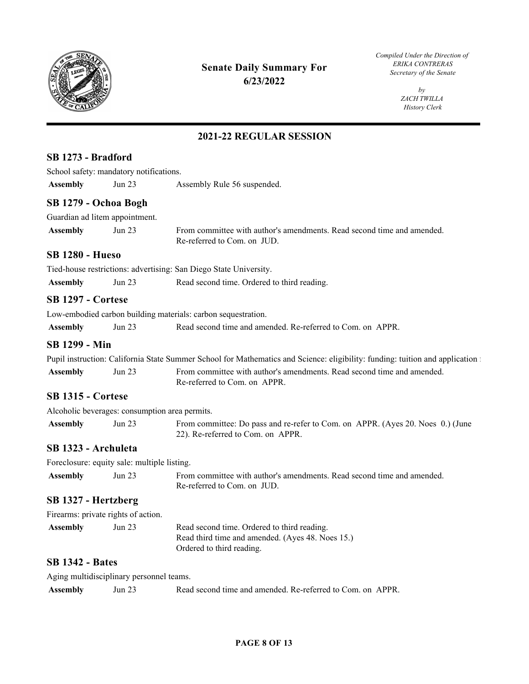

*Compiled Under the Direction of* 

*by ZACH TWILLA History Clerk* 

## **2021-22 REGULAR SESSION**

| SB 1273 - Bradford       |                                             |                                                                                                                               |
|--------------------------|---------------------------------------------|-------------------------------------------------------------------------------------------------------------------------------|
|                          | School safety: mandatory notifications.     |                                                                                                                               |
| <b>Assembly</b>          | Jun 23                                      | Assembly Rule 56 suspended.                                                                                                   |
|                          | SB 1279 - Ochoa Bogh                        |                                                                                                                               |
|                          | Guardian ad litem appointment.              |                                                                                                                               |
| <b>Assembly</b>          | Jun 23                                      | From committee with author's amendments. Read second time and amended.<br>Re-referred to Com. on JUD.                         |
| <b>SB 1280 - Hueso</b>   |                                             |                                                                                                                               |
|                          |                                             | Tied-house restrictions: advertising: San Diego State University.                                                             |
| <b>Assembly</b>          | Jun 23                                      | Read second time. Ordered to third reading.                                                                                   |
| <b>SB 1297 - Cortese</b> |                                             |                                                                                                                               |
|                          |                                             | Low-embodied carbon building materials: carbon sequestration.                                                                 |
| <b>Assembly</b>          | Jun 23                                      | Read second time and amended. Re-referred to Com. on APPR.                                                                    |
| <b>SB 1299 - Min</b>     |                                             |                                                                                                                               |
|                          |                                             | Pupil instruction: California State Summer School for Mathematics and Science: eligibility: funding: tuition and application: |
| <b>Assembly</b>          | Jun 23                                      | From committee with author's amendments. Read second time and amended.<br>Re-referred to Com. on APPR.                        |
| <b>SB 1315 - Cortese</b> |                                             |                                                                                                                               |
|                          |                                             | Alcoholic beverages: consumption area permits.                                                                                |
| <b>Assembly</b>          | Jun 23                                      | From committee: Do pass and re-refer to Com. on APPR. (Ayes 20. Noes 0.) (June<br>22). Re-referred to Com. on APPR.           |
| SB 1323 - Archuleta      |                                             |                                                                                                                               |
|                          | Foreclosure: equity sale: multiple listing. |                                                                                                                               |
| <b>Assembly</b>          | Jun 23                                      | From committee with author's amendments. Read second time and amended.<br>Re-referred to Com. on JUD.                         |
| SB 1327 - Hertzberg      |                                             |                                                                                                                               |
|                          | Firearms: private rights of action.         |                                                                                                                               |
| <b>Assembly</b>          | Jun 23                                      | Read second time. Ordered to third reading.<br>Read third time and amended. (Ayes 48. Noes 15.)<br>Ordered to third reading.  |
| <b>SB 1342 - Bates</b>   |                                             |                                                                                                                               |
|                          | Aging multidisciplinary personnel teams.    |                                                                                                                               |
| <b>Assembly</b>          | Jun 23                                      | Read second time and amended. Re-referred to Com. on APPR.                                                                    |

#### **PAGE 8 OF 13**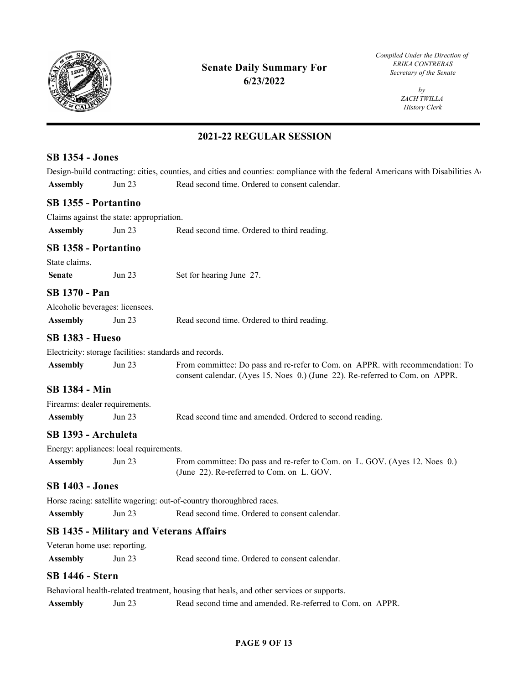

*Compiled Under the Direction of* 

*by ZACH TWILLA History Clerk* 

## **2021-22 REGULAR SESSION**

#### **SB 1354 - Jones**

Design-build contracting: cities, counties, and cities and counties: compliance with the federal Americans with Disabilities A Assembly **Jun 23** Read second time. Ordered to consent calendar.

#### **SB 1355 - Portantino**

| Claims against the state: appropriation. |        |                                             |
|------------------------------------------|--------|---------------------------------------------|
| <b>Assembly</b>                          | Jun 23 | Read second time. Ordered to third reading. |

#### **SB 1358 - Portantino**

State claims.

| <b>Senate</b> | Jun 23 | Set for hearing June 27. |
|---------------|--------|--------------------------|
|---------------|--------|--------------------------|

#### **SB 1370 - Pan**

| Alcoholic beverages: licensees. |        |                                             |
|---------------------------------|--------|---------------------------------------------|
| <b>Assembly</b>                 | Jun 23 | Read second time. Ordered to third reading. |

#### **SB 1383 - Hueso**

Electricity: storage facilities: standards and records.

| <b>Assembly</b> | Jun 23 | From committee: Do pass and re-refer to Com. on APPR, with recommendation: To |
|-----------------|--------|-------------------------------------------------------------------------------|
|                 |        | consent calendar. (Ayes 15. Noes 0.) (June 22). Re-referred to Com. on APPR.  |

#### **SB 1384 - Min**

| Firearms: dealer requirements. |  |
|--------------------------------|--|
|                                |  |

| Read second time and amended. Ordered to second reading.<br>Jun 23<br>Assembly |  |
|--------------------------------------------------------------------------------|--|
|--------------------------------------------------------------------------------|--|

## **SB 1393 - Archuleta**

|                 | Energy: appliances: local requirements. |                                                                            |
|-----------------|-----------------------------------------|----------------------------------------------------------------------------|
| <b>Assembly</b> | Jun 23                                  | From committee: Do pass and re-refer to Com. on L. GOV. (Ayes 12. Noes 0.) |
|                 |                                         | (June 22). Re-referred to Com. on L. GOV.                                  |

#### **SB 1403 - Jones**

Horse racing: satellite wagering: out-of-country thoroughbred races.

**Assembly** Jun 23 Read second time. Ordered to consent calendar.

#### **SB 1435 - Military and Veterans Affairs**

Assembly Jun 23 Read second time. Ordered to consent calendar.

#### **SB 1446 - Stern**

Behavioral health-related treatment, housing that heals, and other services or supports.

#### **PAGE 9 OF 13**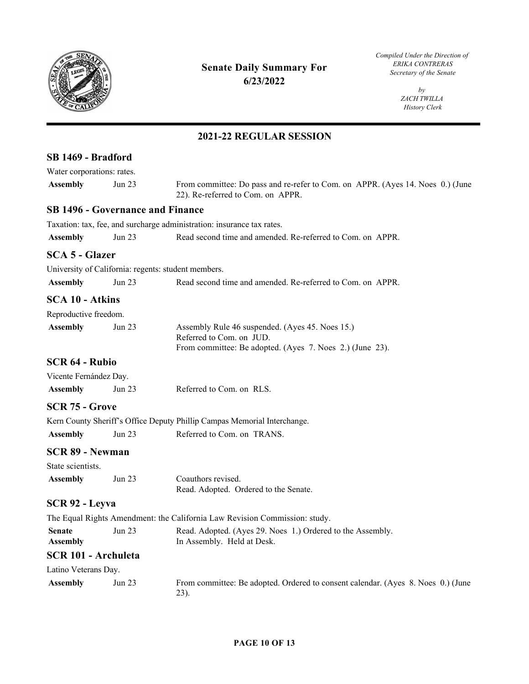

*Compiled Under the Direction of* 

*by ZACH TWILLA History Clerk* 

| SB 1469 - Bradford               |                                         |                                                                                                                                         |
|----------------------------------|-----------------------------------------|-----------------------------------------------------------------------------------------------------------------------------------------|
| Water corporations: rates.       |                                         |                                                                                                                                         |
| <b>Assembly</b>                  | Jun 23                                  | From committee: Do pass and re-refer to Com. on APPR. (Ayes 14. Noes 0.) (June<br>22). Re-referred to Com. on APPR.                     |
|                                  | <b>SB 1496 - Governance and Finance</b> |                                                                                                                                         |
|                                  |                                         | Taxation: tax, fee, and surcharge administration: insurance tax rates.                                                                  |
| <b>Assembly</b>                  | <b>Jun 23</b>                           | Read second time and amended. Re-referred to Com. on APPR.                                                                              |
| <b>SCA 5 - Glazer</b>            |                                         |                                                                                                                                         |
|                                  |                                         | University of California: regents: student members.                                                                                     |
| <b>Assembly</b>                  | Jun 23                                  | Read second time and amended. Re-referred to Com. on APPR.                                                                              |
| <b>SCA 10 - Atkins</b>           |                                         |                                                                                                                                         |
| Reproductive freedom.            |                                         |                                                                                                                                         |
| <b>Assembly</b>                  | Jun 23                                  | Assembly Rule 46 suspended. (Ayes 45. Noes 15.)<br>Referred to Com. on JUD.<br>From committee: Be adopted. (Ayes 7. Noes 2.) (June 23). |
| SCR 64 - Rubio                   |                                         |                                                                                                                                         |
| Vicente Fernández Day.           |                                         |                                                                                                                                         |
| <b>Assembly</b>                  | Jun $23$                                | Referred to Com. on RLS.                                                                                                                |
| <b>SCR 75 - Grove</b>            |                                         |                                                                                                                                         |
|                                  |                                         | Kern County Sheriff's Office Deputy Phillip Campas Memorial Interchange.                                                                |
| <b>Assembly</b>                  | Jun 23                                  | Referred to Com. on TRANS.                                                                                                              |
| <b>SCR 89 - Newman</b>           |                                         |                                                                                                                                         |
| State scientists.                |                                         |                                                                                                                                         |
| <b>Assembly</b>                  | Jun 23                                  | Coauthors revised.<br>Read. Adopted. Ordered to the Senate.                                                                             |
| <b>SCR 92 - Leyva</b>            |                                         |                                                                                                                                         |
|                                  |                                         | The Equal Rights Amendment: the California Law Revision Commission: study.                                                              |
| <b>Senate</b><br><b>Assembly</b> | Jun 23                                  | Read. Adopted. (Ayes 29. Noes 1.) Ordered to the Assembly.<br>In Assembly. Held at Desk.                                                |
| SCR 101 - Archuleta              |                                         |                                                                                                                                         |
| Latino Veterans Day.             |                                         |                                                                                                                                         |
| <b>Assembly</b>                  | Jun 23                                  | From committee: Be adopted. Ordered to consent calendar. (Ayes 8. Noes 0.) (June<br>23).                                                |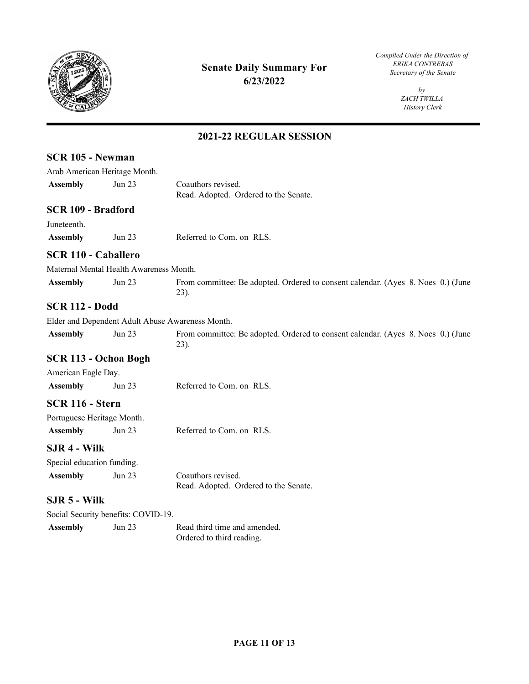

**SCR 105 - Newman** 

## **Senate Daily Summary For** *ERIKA CONTRERAS Secretary of the Senate* **6/23/2022**

*Compiled Under the Direction of* 

*by ZACH TWILLA History Clerk* 

|                            | Arab American Heritage Month.           |                                                                                          |
|----------------------------|-----------------------------------------|------------------------------------------------------------------------------------------|
| <b>Assembly</b>            | Jun 23                                  | Coauthors revised.                                                                       |
|                            |                                         | Read. Adopted. Ordered to the Senate.                                                    |
| SCR 109 - Bradford         |                                         |                                                                                          |
| Juneteenth.                |                                         |                                                                                          |
| <b>Assembly</b>            | <b>Jun 23</b>                           | Referred to Com. on RLS.                                                                 |
| <b>SCR 110 - Caballero</b> |                                         |                                                                                          |
|                            | Maternal Mental Health Awareness Month. |                                                                                          |
| <b>Assembly</b>            | Jun 23                                  | From committee: Be adopted. Ordered to consent calendar. (Ayes 8. Noes 0.) (June<br>23). |
| <b>SCR 112 - Dodd</b>      |                                         |                                                                                          |
|                            |                                         | Elder and Dependent Adult Abuse Awareness Month.                                         |
| <b>Assembly</b>            | <b>Jun 23</b>                           | From committee: Be adopted. Ordered to consent calendar. (Ayes 8. Noes 0.) (June<br>23). |
|                            | SCR 113 - Ochoa Bogh                    |                                                                                          |
| American Eagle Day.        |                                         |                                                                                          |
| <b>Assembly</b>            | Jun 23                                  | Referred to Com. on RLS.                                                                 |
| SCR 116 - Stern            |                                         |                                                                                          |
| Portuguese Heritage Month. |                                         |                                                                                          |
| <b>Assembly</b>            | <b>Jun 23</b>                           | Referred to Com. on RLS.                                                                 |
| SJR 4 - Wilk               |                                         |                                                                                          |
| Special education funding. |                                         |                                                                                          |
| <b>Assembly</b>            | <b>Jun 23</b>                           | Coauthors revised.<br>Read. Adopted. Ordered to the Senate.                              |
| $SIR5$ - Wilk              |                                         |                                                                                          |
|                            | Social Security benefits: COVID-19.     |                                                                                          |
| <b>Assembly</b>            | Jun 23                                  | Read third time and amended.<br>Ordered to third reading.                                |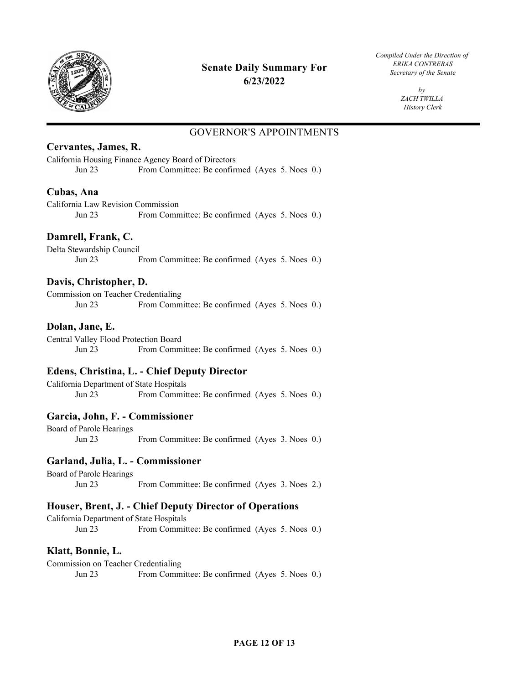

*Compiled Under the Direction of* 

 $b\nu$ *ZACH TWILLA History Clerk* 

## GOVERNOR'S APPOINTMENTS

## **Cervantes, James, R.**

California Housing Finance Agency Board of Directors Jun 23 From Committee: Be confirmed (Ayes 5. Noes 0.)

### **Cubas, Ana**

California Law Revision Commission Jun 23 From Committee: Be confirmed (Ayes 5. Noes 0.)

## **Damrell, Frank, C.**

Delta Stewardship Council Jun 23 From Committee: Be confirmed (Ayes 5. Noes 0.)

### **Davis, Christopher, D.**

Commission on Teacher Credentialing Jun 23 From Committee: Be confirmed (Ayes 5. Noes 0.)

#### **Dolan, Jane, E.**

Central Valley Flood Protection Board Jun 23 From Committee: Be confirmed (Ayes 5. Noes 0.)

#### **Edens, Christina, L. - Chief Deputy Director**

California Department of State Hospitals Jun 23 From Committee: Be confirmed (Ayes 5. Noes 0.)

#### **Garcia, John, F. - Commissioner**

Board of Parole Hearings Jun 23 From Committee: Be confirmed (Ayes 3. Noes 0.)

#### **Garland, Julia, L. - Commissioner**

Board of Parole Hearings Jun 23 From Committee: Be confirmed (Ayes 3. Noes 2.)

#### **Houser, Brent, J. - Chief Deputy Director of Operations**

California Department of State Hospitals Jun 23 From Committee: Be confirmed (Ayes 5. Noes 0.)

## **Klatt, Bonnie, L.**

Commission on Teacher Credentialing Jun 23 From Committee: Be confirmed (Ayes 5. Noes 0.)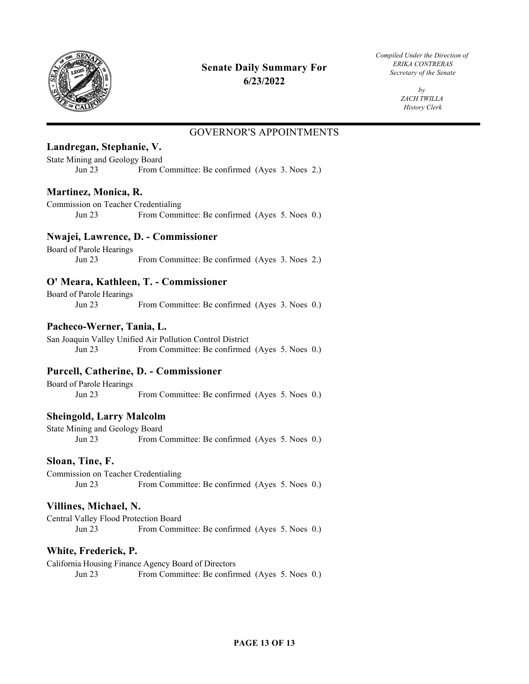

## *ERIKA CONTRERAS* **Senate Daily Summary For** *Secretary of the Senate*  **6/23/2022**

*Compiled Under the Direction of* 

 $b\nu$ *ZACH TWILLA History Clerk* 

## GOVERNOR'S APPOINTMENTS

## **Landregan, Stephanie, V.**

State Mining and Geology Board Jun 23 From Committee: Be confirmed (Ayes 3. Noes 2.)

## **Martinez, Monica, R.**

Commission on Teacher Credentialing Jun 23 From Committee: Be confirmed (Ayes 5. Noes 0.)

#### **Nwajei, Lawrence, D. - Commissioner**

Board of Parole Hearings Jun 23 From Committee: Be confirmed (Ayes 3. Noes 2.)

## **O' Meara, Kathleen, T. - Commissioner**

Board of Parole Hearings Jun 23 From Committee: Be confirmed (Ayes 3. Noes 0.)

### **Pacheco-Werner, Tania, L.**

San Joaquin Valley Unified Air Pollution Control District Jun 23 From Committee: Be confirmed (Ayes 5. Noes 0.)

## **Purcell, Catherine, D. - Commissioner**

Board of Parole Hearings Jun 23 From Committee: Be confirmed (Ayes 5. Noes 0.)

## **Sheingold, Larry Malcolm**

State Mining and Geology Board Jun 23 From Committee: Be confirmed (Ayes 5. Noes 0.)

#### **Sloan, Tine, F.**

Commission on Teacher Credentialing Jun 23 From Committee: Be confirmed (Ayes 5. Noes 0.)

#### **Villines, Michael, N.**

Central Valley Flood Protection Board Jun 23 From Committee: Be confirmed (Ayes 5. Noes 0.)

## **White, Frederick, P.**

California Housing Finance Agency Board of Directors Jun 23 From Committee: Be confirmed (Ayes 5. Noes 0.)